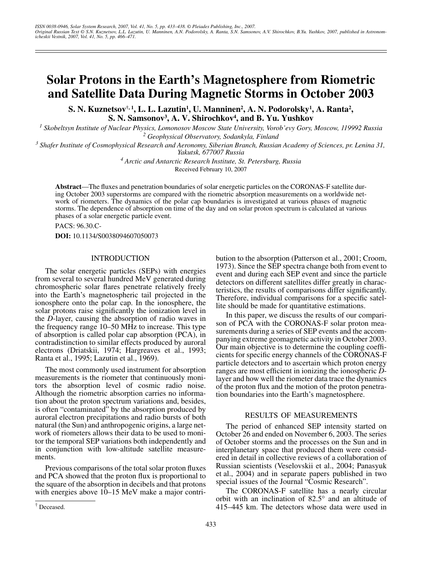# **Solar Protons in the Earth's Magnetosphere from Riometric and Satellite Data During Magnetic Storms in October 2003**

S. N. Kuznetsov<sup>†, 1</sup>, L. L. Lazutin<sup>1</sup>, U. Manninen<sup>2</sup>, A. N. Podorolsky<sup>1</sup>, A. Ranta<sup>2</sup>, **S. N. Samsonov3 , A. V. Shirochkov4 , and B. Yu. Yushkov**

*1 Skobeltsyn Institute of Nuclear Physics, Lomonosov Moscow State University, Vorob'evy Gory, Moscow, 119992 Russia 2 Geophysical Observatory, Sodankyla, Finland*

*3 Shafer Institute of Cosmophysical Research and Aeronomy, Siberian Branch, Russian Academy of Sciences, pr. Lenina 31, Yakutsk, 677007 Russia*

> *4 Arctic and Antarctic Research Institute, St. Petersburg, Russia* Received February 10, 2007

**Abstract**—The fluxes and penetration boundaries of solar energetic particles on the CORONAS-F satellite during October 2003 superstorms are compared with the riometric absorption measurements on a worldwide network of riometers. The dynamics of the polar cap boundaries is investigated at various phases of magnetic storms. The dependence of absorption on time of the day and on solar proton spectrum is calculated at various phases of a solar energetic particle event.

PACS: 96.30.C-

**DOI:** 10.1134/S0038094607050073

#### **INTRODUCTION**

The solar energetic particles (SEPs) with energies from several to several hundred MeV generated during chromospheric solar flares penetrate relatively freely into the Earth's magnetospheric tail projected in the ionosphere onto the polar cap. In the ionosphere, the solar protons raise significantly the ionization level in the *D*-layer, causing the absorption of radio waves in the frequency range 10–50 MHz to increase. This type of absorption is called polar cap absorption (PCA), in contradistinction to similar effects produced by auroral electrons (Driatskii, 1974; Hargreaves et al., 1993; Ranta et al., 1995; Lazutin et al., 1969).

The most commonly used instrument for absorption measurements is the riometer that continuously monitors the absorption level of cosmic radio noise. Although the riometric absorption carries no information about the proton spectrum variations and, besides, is often "contaminated" by the absorption produced by auroral electron precipitations and radio bursts of both natural (the Sun) and anthropogenic origins, a large network of riometers allows their data to be used to monitor the temporal SEP variations both independently and in conjunction with low-altitude satellite measurements.

Previous comparisons of the total solar proton fluxes and PCA showed that the proton flux is proportional to the square of the absorption in decibels and that protons with energies above 10–15 MeV make a major contribution to the absorption (Patterson et al., 2001; Croom, 1973). Since the SEP spectra change both from event to event and during each SEP event and since the particle detectors on different satellites differ greatly in characteristics, the results of comparisons differ significantly. Therefore, individual comparisons for a specific satellite should be made for quantitative estimations.

In this paper, we discuss the results of our comparison of PCA with the CORONAS-F solar proton measurements during a series of SEP events and the accompanying extreme geomagnetic activity in October 2003. Our main objective is to determine the coupling coefficients for specific energy channels of the CORONAS-F particle detectors and to ascertain which proton energy ranges are most efficient in ionizing the ionospheric *D*layer and how well the riometer data trace the dynamics of the proton flux and the motion of the proton penetration boundaries into the Earth's magnetosphere.

# RESULTS OF MEASUREMENTS

The period of enhanced SEP intensity started on October 26 and ended on November 6, 2003. The series of October storms and the processes on the Sun and in interplanetary space that produced them were considered in detail in collective reviews of a collaboration of Russian scientists (Veselovskii et al., 2004; Panasyuk et al., 2004) and in separate papers published in two special issues of the Journal "Cosmic Research".

The CORONAS-F satellite has a nearly circular orbit with an inclination of 82.5° and an altitude of 415–445 km. The detectors whose data were used in

<sup>†</sup> Deceased.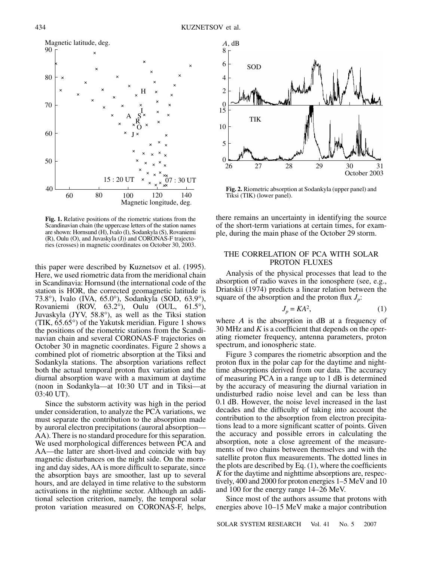8

*Ä*, dB

6 4 2

SOD

TIK

15

 $\overline{0}$ 

10

5

**Fig. 1.** Relative positions of the riometric stations from the Scandinavian chain (the uppercase letters of the station names are shown: Hornsund (H), Ivalo (I), Sodankyla (S), Rovaniemi (R), Oulu (O), and Juvaskyla (J)) and CORONAS-F trajectories (crosses) in magnetic coordinates on October 30, 2003.

80 100 120 140 Magnetic longitude, deg.

J O S R I

A

H

 $15:20 \text{ UT } \times \sqrt{07:30 \text{ UT}}$ 

this paper were described by Kuznetsov et al. (1995). Here, we used riometric data from the meridional chain in Scandinavia: Hornsund (the international code of the station is HOR, the corrected geomagnetic latitude is 73.8°), Ivalo (IVA, 65.0°), Sodankyla (SOD, 63.9°), Rovaniemi (ROV, 63.2°), Oulu (OUL, 61.5°), Juvaskyla (JYV, 58.8°), as well as the Tiksi station (TIK, 65.65°) of the Yakutsk meridian. Figure 1 shows the positions of the riometric stations from the Scandinavian chain and several CORONAS-F trajectories on October 30 in magnetic coordinates. Figure 2 shows a combined plot of riometric absorption at the Tiksi and Sodankyla stations. The absorption variations reflect both the actual temporal proton flux variation and the diurnal absorption wave with a maximum at daytime (noon in Sodankyla—at 10:30 UT and in Tiksi—at 03:40 UT).

Since the substorm activity was high in the period under consideration, to analyze the PCA variations, we must separate the contribution to the absorption made by auroral electron precipitations (auroral absorption— AA). There is no standard procedure for this separation. We used morphological differences between PCA and AA—the latter are short-lived and coincide with bay magnetic disturbances on the night side. On the morning and day sides, AA is more difficult to separate, since the absorption bays are smoother, last up to several hours, and are delayed in time relative to the substorm activations in the nighttime sector. Although an additional selection criterion, namely, the temporal solar proton variation measured on CORONAS-F, helps,



**Fig. 2.** Riometric absorption at Sodankyla (upper panel) and Tiksi (TIK) (lower panel).

there remains an uncertainty in identifying the source of the short-term variations at certain times, for example, during the main phase of the October 29 storm.

#### THE CORRELATION OF PCA WITH SOLAR PROTON FLUXES

Analysis of the physical processes that lead to the absorption of radio waves in the ionosphere (see, e.g., Driatskii (1974) predicts a linear relation between the square of the absorption and the proton flux  $J<sub>p</sub>$ :

$$
J_p = KA^2,\tag{1}
$$

where *A* is the absorption in dB at a frequency of 30 MHz and *ä* is a coefficient that depends on the operating riometer frequency, antenna parameters, proton spectrum, and ionospheric state.

Figure 3 compares the riometric absorption and the proton flux in the polar cap for the daytime and nighttime absorptions derived from our data. The accuracy of measuring PCA in a range up to 1 dB is determined by the accuracy of measuring the diurnal variation in undisturbed radio noise level and can be less than 0.1 dB. However, the noise level increased in the last decades and the difficulty of taking into account the contribution to the absorption from electron precipitations lead to a more significant scatter of points. Given the accuracy and possible errors in calculating the absorption, note a close agreement of the measurements of two chains between themselves and with the satellite proton flux measurements. The dotted lines in the plots are described by Eq.  $(1)$ , where the coefficients *K* for the daytime and nighttime absorptions are, respectively, 400 and 2000 for proton energies 1–5 MeV and 10 and 100 for the energy range 14–26 MeV.

Since most of the authors assume that protons with energies above 10–15 MeV make a major contribution

80

 $\times$ 

90

Magnetic latitude, deg.

70

60

50

40

60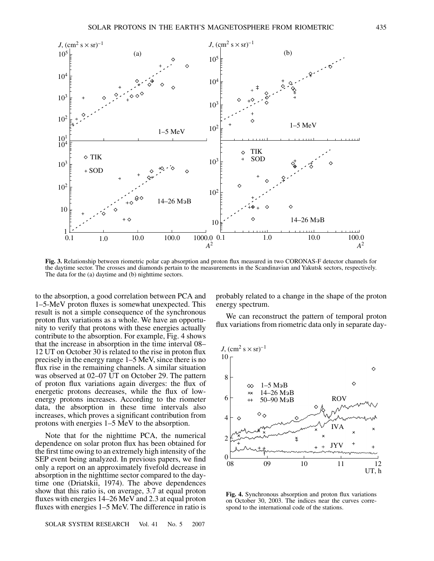

**Fig. 3.** Relationship between riometric polar cap absorption and proton flux measured in two CORONAS-F detector channels for the daytime sector. The crosses and diamonds pertain to the measurements in the Scandinavian and Yakutsk sectors, respectively. The data for the (a) daytime and (b) nighttime sectors.

to the absorption, a good correlation between PCA and 1–5-MeV proton fluxes is somewhat unexpected. This result is not a simple consequence of the synchronous proton flux variations as a whole. We have an opportunity to verify that protons with these energies actually contribute to the absorption. For example, Fig. 4 shows that the increase in absorption in the time interval 08– 12 UT on October 30 is related to the rise in proton flux precisely in the energy range 1–5 MeV, since there is no flux rise in the remaining channels. A similar situation was observed at 02–07 UT on October 29. The pattern of proton flux variations again diverges: the flux of energetic protons decreases, while the flux of lowenergy protons increases. According to the riometer data, the absorption in these time intervals also increases, which proves a significant contribution from protons with energies 1–5 MeV to the absorption.

Note that for the nighttime PCA, the numerical dependence on solar proton flux has been obtained for the first time owing to an extremely high intensity of the SEP event being analyzed. In previous papers, we find only a report on an approximately fivefold decrease in absorption in the nighttime sector compared to the daytime one (Driatskii, 1974). The above dependences show that this ratio is, on average, 3.7 at equal proton fluxes with energies 14–26 MeV and 2.3 at equal proton fluxes with energies 1–5 MeV. The difference in ratio is

SOLAR SYSTEM RESEARCH Vol. 41 No. 5 2007

probably related to a change in the shape of the proton energy spectrum.

We can reconstruct the pattern of temporal proton flux variations from riometric data only in separate day-



**Fig. 4.** Synchronous absorption and proton flux variations on October 30, 2003. The indices near the curves correspond to the international code of the stations.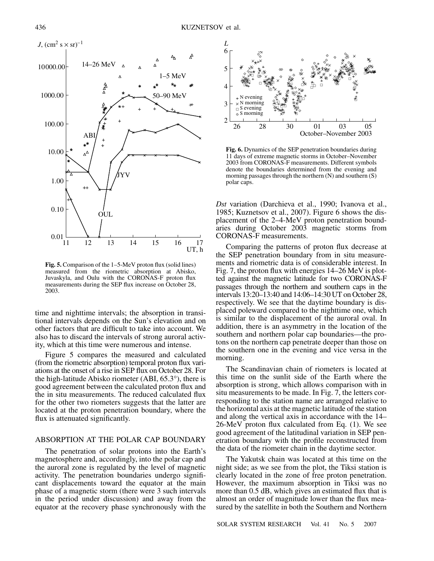

**Fig. 5.** Comparison of the 1–5-MeV proton flux (solid lines) measured from the riometric absorption at Abisko, Juvaskyla, and Oulu with the CORONAS-F proton flux measurements during the SEP flux increase on October 28, 2003.

time and nighttime intervals; the absorption in transitional intervals depends on the Sun's elevation and on other factors that are difficult to take into account. We also has to discard the intervals of strong auroral activity, which at this time were numerous and intense.

Figure 5 compares the measured and calculated (from the riometric absorption) temporal proton flux variations at the onset of a rise in SEP flux on October 28. For the high-latitude Abisko riometer (ABI, 65.3°), there is good agreement between the calculated proton flux and the in situ measurements. The reduced calculated flux for the other two riometers suggests that the latter are located at the proton penetration boundary, where the flux is attenuated significantly.

# ABSORPTION AT THE POLAR CAP BOUNDARY

The penetration of solar protons into the Earth's magnetosphere and, accordingly, into the polar cap and the auroral zone is regulated by the level of magnetic activity. The penetration boundaries undergo significant displacements toward the equator at the main phase of a magnetic storm (there were 3 such intervals in the period under discussion) and away from the equator at the recovery phase synchronously with the



**Fig. 6.** Dynamics of the SEP penetration boundaries during 11 days of extreme magnetic storms in October–November 2003 from CORONAS-F measurements. Different symbols denote the boundaries determined from the evening and morning passages through the northern (N) and southern (S) polar caps.

*Dst* variation (Darchieva et al., 1990; Ivanova et al., 1985; Kuznetsov et al., 2007). Figure 6 shows the displacement of the 2–4-MeV proton penetration boundaries during October 2003 magnetic storms from CORONAS-F measurements.

Comparing the patterns of proton flux decrease at the SEP penetration boundary from in situ measurements and riometric data is of considerable interest. In Fig. 7, the proton flux with energies 14–26 MeV is plotted against the magnetic latitude for two CORONAS-F passages through the northern and southern caps in the intervals 13:20–13:40 and 14:06–14:30 UT on October 28, respectively. We see that the daytime boundary is displaced poleward compared to the nighttime one, which is similar to the displacement of the auroral oval. In addition, there is an asymmetry in the location of the southern and northern polar cap boundaries—the protons on the northern cap penetrate deeper than those on the southern one in the evening and vice versa in the morning.

The Scandinavian chain of riometers is located at this time on the sunlit side of the Earth where the absorption is strong, which allows comparison with in situ measurements to be made. In Fig. 7, the letters corresponding to the station name are arranged relative to the horizontal axis at the magnetic latitude of the station and along the vertical axis in accordance with the 14– 26-MeV proton flux calculated from Eq. (1). We see good agreement of the latitudinal variation in SEP penetration boundary with the profile reconstructed from the data of the riometer chain in the daytime sector.

The Yakutsk chain was located at this time on the night side; as we see from the plot, the Tiksi station is clearly located in the zone of free proton penetration. However, the maximum absorption in Tiksi was no more than 0.5 dB, which gives an estimated flux that is almost an order of magnitude lower than the flux measured by the satellite in both the Southern and Northern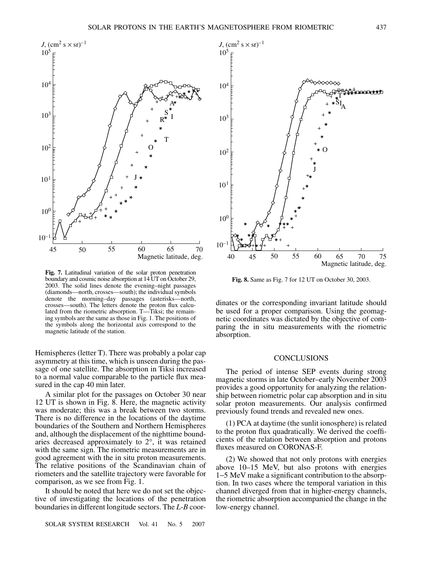

**Fig. 7.** Latitudinal variation of the solar proton penetration boundary and cosmic noise absorption at 14 UT on October 29, 2003. The solid lines denote the evening–night passages (diamonds—north, crosses—south); the individual symbols denote the morning–day passages (asterisks—north, crosses—south). The letters denote the proton flux calculated from the riometric absorption. T—Tiksi; the remaining symbols are the same as those in Fig. 1. The positions of the symbols along the horizontal axis correspond to the magnetic latitude of the station.

Hemispheres (letter T). There was probably a polar cap asymmetry at this time, which is unseen during the passage of one satellite. The absorption in Tiksi increased to a normal value comparable to the particle flux measured in the cap 40 min later.

A similar plot for the passages on October 30 near 12 UT is shown in Fig. 8. Here, the magnetic activity was moderate; this was a break between two storms. There is no difference in the locations of the daytime boundaries of the Southern and Northern Hemispheres and, although the displacement of the nighttime boundaries decreased approximately to 2°, it was retained with the same sign. The riometric measurements are in good agreement with the in situ proton measurements. The relative positions of the Scandinavian chain of riometers and the satellite trajectory were favorable for comparison, as we see from Fig. 1.

It should be noted that here we do not set the objective of investigating the locations of the penetration boundaries in different longitude sectors. The *L*-*B* coor-



**Fig. 8.** Same as Fig. 7 for 12 UT on October 30, 2003.

dinates or the corresponding invariant latitude should be used for a proper comparison. Using the geomagnetic coordinates was dictated by the objective of comparing the in situ measurements with the riometric absorption.

#### **CONCLUSIONS**

The period of intense SEP events during strong magnetic storms in late October–early November 2003 provides a good opportunity for analyzing the relationship between riometric polar cap absorption and in situ solar proton measurements. Our analysis confirmed previously found trends and revealed new ones.

(1) PCA at daytime (the sunlit ionosphere) is related to the proton flux quadratically. We derived the coefficients of the relation between absorption and protons fluxes measured on CORONAS-F.

(2) We showed that not only protons with energies above 10–15 MeV, but also protons with energies 1−5 MeV make a significant contribution to the absorption. In two cases where the temporal variation in this channel diverged from that in higher-energy channels, the riometric absorption accompanied the change in the low-energy channel.